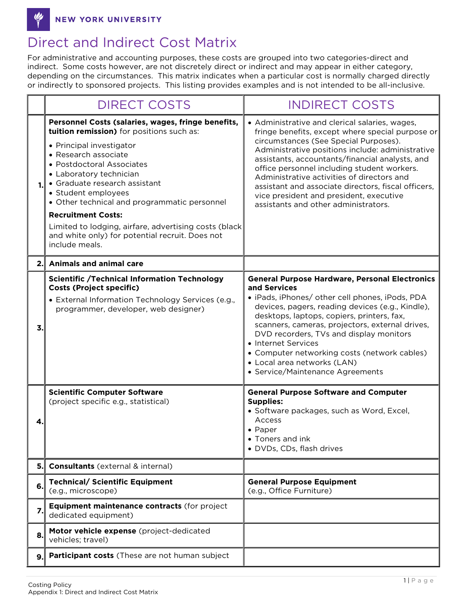NEW YORK UNIVERSITY

## Direct and Indirect Cost Matrix

For administrative and accounting purposes, these costs are grouped into two categories-direct and indirect. Some costs however, are not discretely direct or indirect and may appear in either category, depending on the circumstances. This matrix indicates when a particular cost is normally charged directly or indirectly to sponsored projects. This listing provides examples and is not intended to be all-inclusive.

|    | <b>DIRECT COSTS</b>                                                                                                                                                                                                                                                                                                                                                                                                                                                            | <b>INDIRECT COSTS</b>                                                                                                                                                                                                                                                                                                                                                                                                                                                                     |
|----|--------------------------------------------------------------------------------------------------------------------------------------------------------------------------------------------------------------------------------------------------------------------------------------------------------------------------------------------------------------------------------------------------------------------------------------------------------------------------------|-------------------------------------------------------------------------------------------------------------------------------------------------------------------------------------------------------------------------------------------------------------------------------------------------------------------------------------------------------------------------------------------------------------------------------------------------------------------------------------------|
| 1. | Personnel Costs (salaries, wages, fringe benefits,<br>tuition remission) for positions such as:<br>• Principal investigator<br>• Research associate<br>· Postdoctoral Associates<br>• Laboratory technician<br>• Graduate research assistant<br>• Student employees<br>• Other technical and programmatic personnel<br><b>Recruitment Costs:</b><br>Limited to lodging, airfare, advertising costs (black<br>and white only) for potential recruit. Does not<br>include meals. | • Administrative and clerical salaries, wages,<br>fringe benefits, except where special purpose or<br>circumstances (See Special Purposes).<br>Administrative positions include: administrative<br>assistants, accountants/financial analysts, and<br>office personnel including student workers.<br>Administrative activities of directors and<br>assistant and associate directors, fiscal officers,<br>vice president and president, executive<br>assistants and other administrators. |
| 2. | <b>Animals and animal care</b>                                                                                                                                                                                                                                                                                                                                                                                                                                                 |                                                                                                                                                                                                                                                                                                                                                                                                                                                                                           |
| 3. | <b>Scientific /Technical Information Technology</b><br><b>Costs (Project specific)</b><br>• External Information Technology Services (e.g.,<br>programmer, developer, web designer)                                                                                                                                                                                                                                                                                            | <b>General Purpose Hardware, Personal Electronics</b><br>and Services<br>· iPads, iPhones/ other cell phones, iPods, PDA<br>devices, pagers, reading devices (e.g., Kindle),<br>desktops, laptops, copiers, printers, fax,<br>scanners, cameras, projectors, external drives,<br>DVD recorders, TVs and display monitors<br>• Internet Services<br>• Computer networking costs (network cables)<br>• Local area networks (LAN)<br>• Service/Maintenance Agreements                        |
| 4. | <b>Scientific Computer Software</b><br>(project specific e.g., statistical)                                                                                                                                                                                                                                                                                                                                                                                                    | <b>General Purpose Software and Computer</b><br><b>Supplies:</b><br>· Software packages, such as Word, Excel,<br>Access<br>$\bullet$ Paper<br>• Toners and ink<br>· DVDs, CDs, flash drives                                                                                                                                                                                                                                                                                               |
| 5. | <b>Consultants</b> (external & internal)                                                                                                                                                                                                                                                                                                                                                                                                                                       |                                                                                                                                                                                                                                                                                                                                                                                                                                                                                           |
| 6. | <b>Technical/ Scientific Equipment</b><br>(e.g., microscope)                                                                                                                                                                                                                                                                                                                                                                                                                   | <b>General Purpose Equipment</b><br>(e.g., Office Furniture)                                                                                                                                                                                                                                                                                                                                                                                                                              |
| 7. | Equipment maintenance contracts (for project<br>dedicated equipment)                                                                                                                                                                                                                                                                                                                                                                                                           |                                                                                                                                                                                                                                                                                                                                                                                                                                                                                           |
| 8. | Motor vehicle expense (project-dedicated<br>vehicles; travel)                                                                                                                                                                                                                                                                                                                                                                                                                  |                                                                                                                                                                                                                                                                                                                                                                                                                                                                                           |
| 9. | Participant costs (These are not human subject                                                                                                                                                                                                                                                                                                                                                                                                                                 |                                                                                                                                                                                                                                                                                                                                                                                                                                                                                           |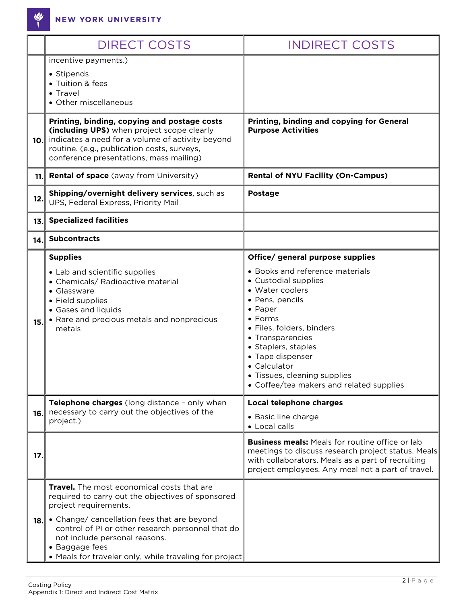<u>W</u>

|     | <b>DIRECT COSTS</b>                                                                                                                                                                                                                                                                                                                       | <b>INDIRECT COSTS</b>                                                                                                                                                                                                                                                                                                                                           |
|-----|-------------------------------------------------------------------------------------------------------------------------------------------------------------------------------------------------------------------------------------------------------------------------------------------------------------------------------------------|-----------------------------------------------------------------------------------------------------------------------------------------------------------------------------------------------------------------------------------------------------------------------------------------------------------------------------------------------------------------|
|     | incentive payments.)<br>• Stipends<br>• Tuition & fees<br>• Travel<br>• Other miscellaneous                                                                                                                                                                                                                                               |                                                                                                                                                                                                                                                                                                                                                                 |
| 10. | Printing, binding, copying and postage costs<br>(including UPS) when project scope clearly<br>indicates a need for a volume of activity beyond<br>routine. (e.g., publication costs, surveys,<br>conference presentations, mass mailing)                                                                                                  | Printing, binding and copying for General<br><b>Purpose Activities</b>                                                                                                                                                                                                                                                                                          |
| 11. | <b>Rental of space</b> (away from University)                                                                                                                                                                                                                                                                                             | <b>Rental of NYU Facility (On-Campus)</b>                                                                                                                                                                                                                                                                                                                       |
| 12. | Shipping/overnight delivery services, such as<br>UPS, Federal Express, Priority Mail                                                                                                                                                                                                                                                      | Postage                                                                                                                                                                                                                                                                                                                                                         |
| 13. | <b>Specialized facilities</b>                                                                                                                                                                                                                                                                                                             |                                                                                                                                                                                                                                                                                                                                                                 |
| 14. | <b>Subcontracts</b>                                                                                                                                                                                                                                                                                                                       |                                                                                                                                                                                                                                                                                                                                                                 |
| 15. | <b>Supplies</b><br>• Lab and scientific supplies<br>• Chemicals/ Radioactive material<br>• Glassware<br>• Field supplies<br>• Gases and liquids<br>• Rare and precious metals and nonprecious<br>metals                                                                                                                                   | Office/ general purpose supplies<br>• Books and reference materials<br>• Custodial supplies<br>• Water coolers<br>• Pens, pencils<br>$\bullet$ Paper<br>$\bullet$ Forms<br>· Files, folders, binders<br>• Transparencies<br>• Staplers, staples<br>• Tape dispenser<br>• Calculator<br>• Tissues, cleaning supplies<br>• Coffee/tea makers and related supplies |
| 16. | Telephone charges (long distance - only when<br>necessary to carry out the objectives of the<br>project.)                                                                                                                                                                                                                                 | Local telephone charges<br>• Basic line charge<br>• Local calls                                                                                                                                                                                                                                                                                                 |
| 17. |                                                                                                                                                                                                                                                                                                                                           | <b>Business meals:</b> Meals for routine office or lab<br>meetings to discuss research project status. Meals<br>with collaborators. Meals as a part of recruiting<br>project employees. Any meal not a part of travel.                                                                                                                                          |
| 18. | Travel. The most economical costs that are<br>required to carry out the objectives of sponsored<br>project requirements.<br>• Change/ cancellation fees that are beyond<br>control of PI or other research personnel that do<br>not include personal reasons.<br>• Baggage fees<br>• Meals for traveler only, while traveling for project |                                                                                                                                                                                                                                                                                                                                                                 |